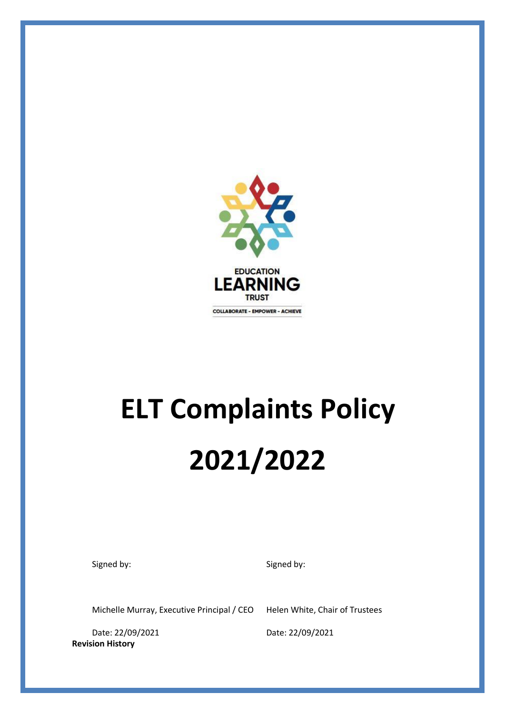

# **ELT Complaints Policy 2021/2022**

Signed by: Signed by: Signed by:

Michelle Murray, Executive Principal / CEO Helen White, Chair of Trustees

Date: 22/09/2021 Date: 22/09/2021 **Revision History**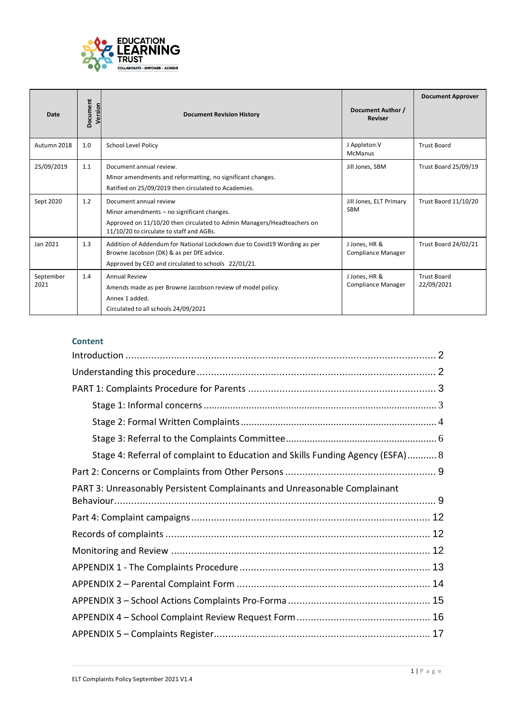

| Date              | Document<br>Version | <b>Document Revision History</b>                                                                                                                                                           | Document Author /<br><b>Reviser</b>        | <b>Document Approver</b>         |
|-------------------|---------------------|--------------------------------------------------------------------------------------------------------------------------------------------------------------------------------------------|--------------------------------------------|----------------------------------|
| Autumn 2018       | 1.0                 | School Level Policy                                                                                                                                                                        | J Appleton.V<br><b>McManus</b>             | <b>Trust Board</b>               |
| 25/09/2019        | 1.1                 | Document annual review.<br>Minor amendments and reformatting, no significant changes.<br>Ratified on 25/09/2019 then circulated to Academies.                                              | Jill Jones, SBM                            | <b>Trust Board 25/09/19</b>      |
| Sept 2020         | 1.2                 | Document annual review<br>Minor amendments – no significant changes.<br>Approved on 11/10/20 then circulated to Admin Managers/Headteachers on<br>11/10/20 to circulate to staff and AGBs. | Jill Jones, ELT Primary<br><b>SBM</b>      | <b>Trust Baord 11/10/20</b>      |
| Jan 2021          | 1.3                 | Addition of Addendum for National Lockdown due to Covid19 Wording as per<br>Browne Jacobson (DK) & as per DfE advice.<br>Approved by CEO and circulated to schools 22/01/21.               | J Jones, HR &<br><b>Compliance Manager</b> | Trust Board 24/02/21             |
| September<br>2021 | 1.4                 | <b>Annual Review</b><br>Amends made as per Browne Jacobson review of model policy.<br>Annex 1 added.<br>Circulated to all schools 24/09/2021                                               | J Jones, HR &<br><b>Compliance Manager</b> | <b>Trust Board</b><br>22/09/2021 |

## **Content**

| Stage 4: Referral of complaint to Education and Skills Funding Agency (ESFA) 8 |  |  |  |  |  |
|--------------------------------------------------------------------------------|--|--|--|--|--|
|                                                                                |  |  |  |  |  |
| PART 3: Unreasonably Persistent Complainants and Unreasonable Complainant      |  |  |  |  |  |
|                                                                                |  |  |  |  |  |
|                                                                                |  |  |  |  |  |
|                                                                                |  |  |  |  |  |
|                                                                                |  |  |  |  |  |
|                                                                                |  |  |  |  |  |
|                                                                                |  |  |  |  |  |
|                                                                                |  |  |  |  |  |
|                                                                                |  |  |  |  |  |
|                                                                                |  |  |  |  |  |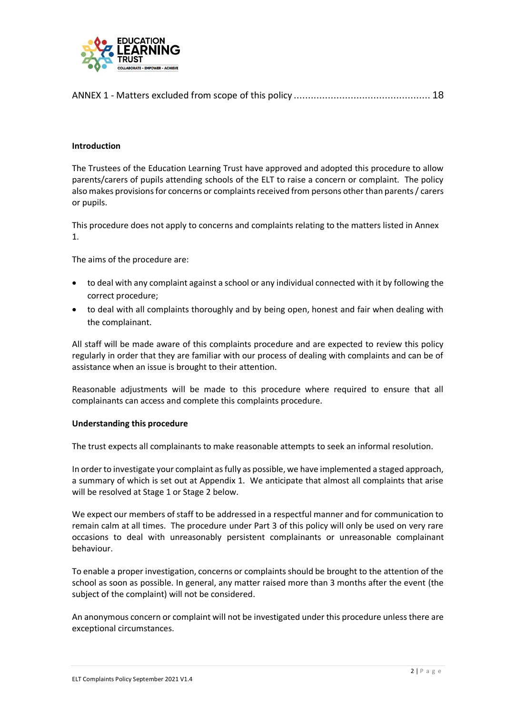

ANNEX 1 - [Matters excluded from scope of this policy](#page-18-0) ................................................ 18

#### <span id="page-2-0"></span>**Introduction**

The Trustees of the Education Learning Trust have approved and adopted this procedure to allow parents/carers of pupils attending schools of the ELT to raise a concern or complaint. The policy also makes provisions for concerns or complaints received from persons other than parents / carers or pupils.

This procedure does not apply to concerns and complaints relating to the matters listed in Annex 1.

The aims of the procedure are:

- to deal with any complaint against a school or any individual connected with it by following the correct procedure;
- to deal with all complaints thoroughly and by being open, honest and fair when dealing with the complainant.

All staff will be made aware of this complaints procedure and are expected to review this policy regularly in order that they are familiar with our process of dealing with complaints and can be of assistance when an issue is brought to their attention.

Reasonable adjustments will be made to this procedure where required to ensure that all complainants can access and complete this complaints procedure.

#### <span id="page-2-1"></span>**Understanding this procedure**

The trust expects all complainants to make reasonable attempts to seek an informal resolution.

In order to investigate your complaint as fully as possible, we have implemented a staged approach, a summary of which is set out at Appendix 1. We anticipate that almost all complaints that arise will be resolved at Stage 1 or Stage 2 below.

We expect our members of staff to be addressed in a respectful manner and for communication to remain calm at all times. The procedure under Part 3 of this policy will only be used on very rare occasions to deal with unreasonably persistent complainants or unreasonable complainant behaviour.

To enable a proper investigation, concerns or complaints should be brought to the attention of the school as soon as possible. In general, any matter raised more than 3 months after the event (the subject of the complaint) will not be considered.

An anonymous concern or complaint will not be investigated under this procedure unless there are exceptional circumstances.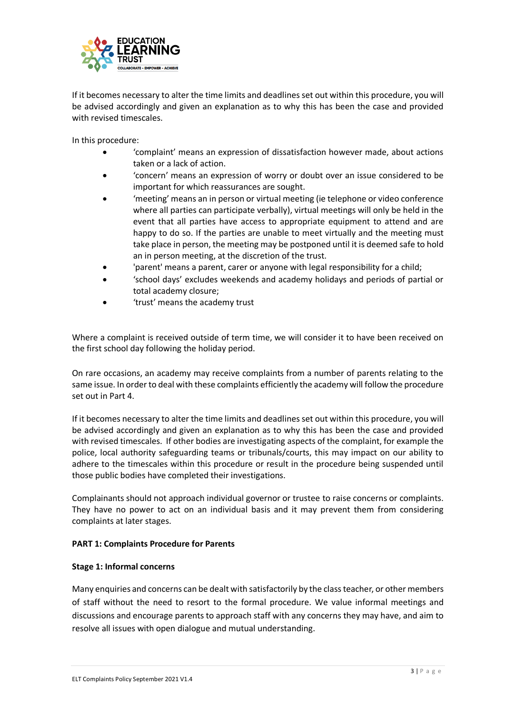

If it becomes necessary to alter the time limits and deadlines set out within this procedure, you will be advised accordingly and given an explanation as to why this has been the case and provided with revised timescales.

In this procedure:

- 'complaint' means an expression of dissatisfaction however made, about actions taken or a lack of action.
- 'concern' means an expression of worry or doubt over an issue considered to be important for which reassurances are sought.
- 'meeting' means an in person or virtual meeting (ie telephone or video conference where all parties can participate verbally), virtual meetings will only be held in the event that all parties have access to appropriate equipment to attend and are happy to do so. If the parties are unable to meet virtually and the meeting must take place in person, the meeting may be postponed until it is deemed safe to hold an in person meeting, at the discretion of the trust.
- 'parent' means a parent, carer or anyone with legal responsibility for a child;
- 'school days' excludes weekends and academy holidays and periods of partial or total academy closure;
- 'trust' means the academy trust

Where a complaint is received outside of term time, we will consider it to have been received on the first school day following the holiday period.

On rare occasions, an academy may receive complaints from a number of parents relating to the same issue. In order to deal with these complaints efficiently the academy will follow the procedure set out in Part 4.

If it becomes necessary to alter the time limits and deadlines set out within this procedure, you will be advised accordingly and given an explanation as to why this has been the case and provided with revised timescales. If other bodies are investigating aspects of the complaint, for example the police, local authority safeguarding teams or tribunals/courts, this may impact on our ability to adhere to the timescales within this procedure or result in the procedure being suspended until those public bodies have completed their investigations.

Complainants should not approach individual governor or trustee to raise concerns or complaints. They have no power to act on an individual basis and it may prevent them from considering complaints at later stages.

#### <span id="page-3-0"></span>**PART 1: Complaints Procedure for Parents**

#### <span id="page-3-1"></span>**Stage 1: Informal concerns**

Many enquiries and concerns can be dealt with satisfactorily by the class teacher, or other members of staff without the need to resort to the formal procedure. We value informal meetings and discussions and encourage parents to approach staff with any concerns they may have, and aim to resolve all issues with open dialogue and mutual understanding.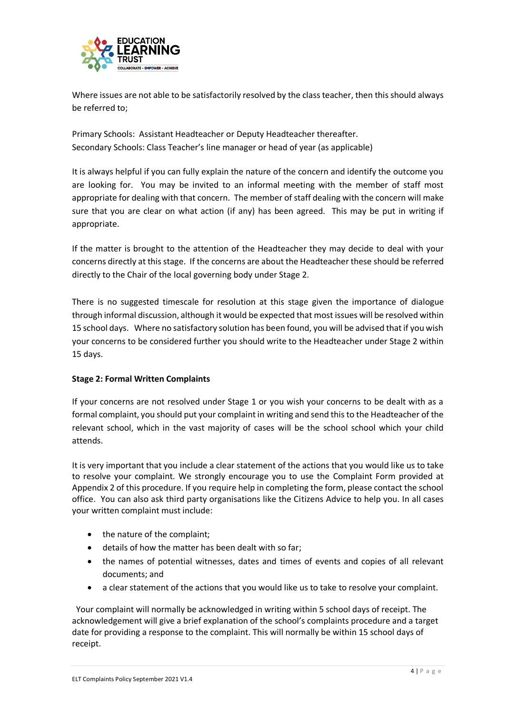

Where issues are not able to be satisfactorily resolved by the class teacher, then this should always be referred to;

Primary Schools: Assistant Headteacher or Deputy Headteacher thereafter. Secondary Schools: Class Teacher's line manager or head of year (as applicable)

It is always helpful if you can fully explain the nature of the concern and identify the outcome you are looking for. You may be invited to an informal meeting with the member of staff most appropriate for dealing with that concern. The member of staff dealing with the concern will make sure that you are clear on what action (if any) has been agreed. This may be put in writing if appropriate.

If the matter is brought to the attention of the Headteacher they may decide to deal with your concerns directly at this stage. If the concerns are about the Headteacher these should be referred directly to the Chair of the local governing body under Stage 2.

There is no suggested timescale for resolution at this stage given the importance of dialogue through informal discussion, although it would be expected that most issues will be resolved within 15 school days. Where no satisfactory solution has been found, you will be advised that if you wish your concerns to be considered further you should write to the Headteacher under Stage 2 within 15 days.

## <span id="page-4-0"></span>**Stage 2: Formal Written Complaints**

If your concerns are not resolved under Stage 1 or you wish your concerns to be dealt with as a formal complaint, you should put your complaint in writing and send this to the Headteacher of the relevant school, which in the vast majority of cases will be the school school which your child attends.

It is very important that you include a clear statement of the actions that you would like us to take to resolve your complaint. We strongly encourage you to use the Complaint Form provided at Appendix 2 of this procedure. If you require help in completing the form, please contact the school office. You can also ask third party organisations like the Citizens Advice to help you. In all cases your written complaint must include:

- the nature of the complaint;
- details of how the matter has been dealt with so far;
- the names of potential witnesses, dates and times of events and copies of all relevant documents; and
- a clear statement of the actions that you would like us to take to resolve your complaint.

 Your complaint will normally be acknowledged in writing within 5 school days of receipt. The acknowledgement will give a brief explanation of the school's complaints procedure and a target date for providing a response to the complaint. This will normally be within 15 school days of receipt.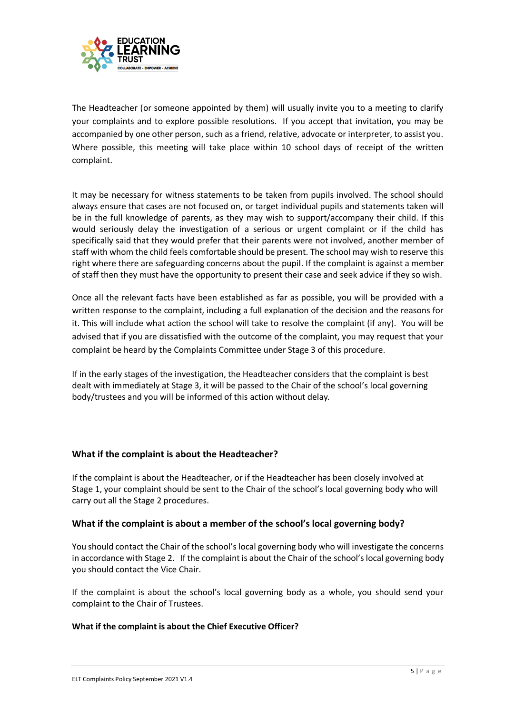

The Headteacher (or someone appointed by them) will usually invite you to a meeting to clarify your complaints and to explore possible resolutions. If you accept that invitation, you may be accompanied by one other person, such as a friend, relative, advocate or interpreter, to assist you. Where possible, this meeting will take place within 10 school days of receipt of the written complaint.

It may be necessary for witness statements to be taken from pupils involved. The school should always ensure that cases are not focused on, or target individual pupils and statements taken will be in the full knowledge of parents, as they may wish to support/accompany their child. If this would seriously delay the investigation of a serious or urgent complaint or if the child has specifically said that they would prefer that their parents were not involved, another member of staff with whom the child feels comfortable should be present. The school may wish to reserve this right where there are safeguarding concerns about the pupil. If the complaint is against a member of staff then they must have the opportunity to present their case and seek advice if they so wish.

Once all the relevant facts have been established as far as possible, you will be provided with a written response to the complaint, including a full explanation of the decision and the reasons for it. This will include what action the school will take to resolve the complaint (if any). You will be advised that if you are dissatisfied with the outcome of the complaint, you may request that your complaint be heard by the Complaints Committee under Stage 3 of this procedure.

If in the early stages of the investigation, the Headteacher considers that the complaint is best dealt with immediately at Stage 3, it will be passed to the Chair of the school's local governing body/trustees and you will be informed of this action without delay.

## **What if the complaint is about the Headteacher?**

If the complaint is about the Headteacher, or if the Headteacher has been closely involved at Stage 1, your complaint should be sent to the Chair of the school's local governing body who will carry out all the Stage 2 procedures.

## **What if the complaint is about a member of the school's local governing body?**

You should contact the Chair of the school's local governing body who will investigate the concerns in accordance with Stage 2. If the complaint is about the Chair of the school's local governing body you should contact the Vice Chair.

If the complaint is about the school's local governing body as a whole, you should send your complaint to the Chair of Trustees.

#### **What if the complaint is about the Chief Executive Officer?**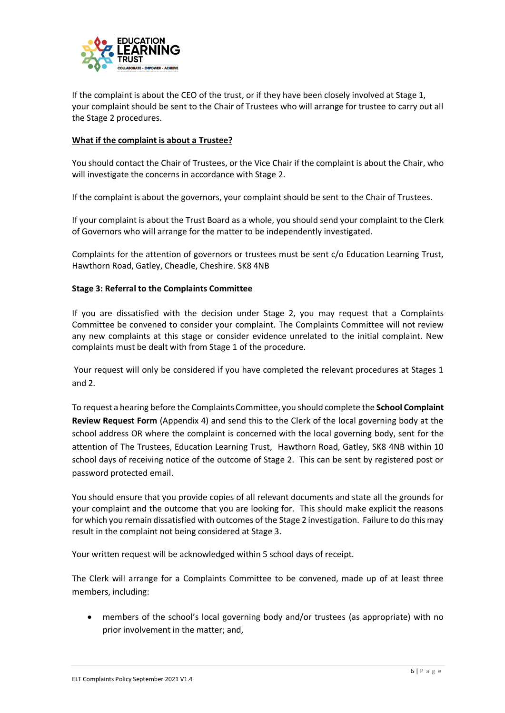

If the complaint is about the CEO of the trust, or if they have been closely involved at Stage 1, your complaint should be sent to the Chair of Trustees who will arrange for trustee to carry out all the Stage 2 procedures.

#### **What if the complaint is about a Trustee?**

You should contact the Chair of Trustees, or the Vice Chair if the complaint is about the Chair, who will investigate the concerns in accordance with Stage 2.

If the complaint is about the governors, your complaint should be sent to the Chair of Trustees.

If your complaint is about the Trust Board as a whole, you should send your complaint to the Clerk of Governors who will arrange for the matter to be independently investigated.

Complaints for the attention of governors or trustees must be sent c/o Education Learning Trust, Hawthorn Road, Gatley, Cheadle, Cheshire. SK8 4NB

#### <span id="page-6-0"></span>**Stage 3: Referral to the Complaints Committee**

If you are dissatisfied with the decision under Stage 2, you may request that a Complaints Committee be convened to consider your complaint. The Complaints Committee will not review any new complaints at this stage or consider evidence unrelated to the initial complaint. New complaints must be dealt with from Stage 1 of the procedure.

Your request will only be considered if you have completed the relevant procedures at Stages 1 and 2.

To request a hearing before the Complaints Committee, you should complete the **School Complaint Review Request Form** (Appendix 4) and send this to the Clerk of the local governing body at the school address OR where the complaint is concerned with the local governing body, sent for the attention of The Trustees, Education Learning Trust, Hawthorn Road, Gatley, SK8 4NB within 10 school days of receiving notice of the outcome of Stage 2. This can be sent by registered post or password protected email.

You should ensure that you provide copies of all relevant documents and state all the grounds for your complaint and the outcome that you are looking for. This should make explicit the reasons for which you remain dissatisfied with outcomes of the Stage 2 investigation. Failure to do this may result in the complaint not being considered at Stage 3.

Your written request will be acknowledged within 5 school days of receipt.

The Clerk will arrange for a Complaints Committee to be convened, made up of at least three members, including:

 members of the school's local governing body and/or trustees (as appropriate) with no prior involvement in the matter; and,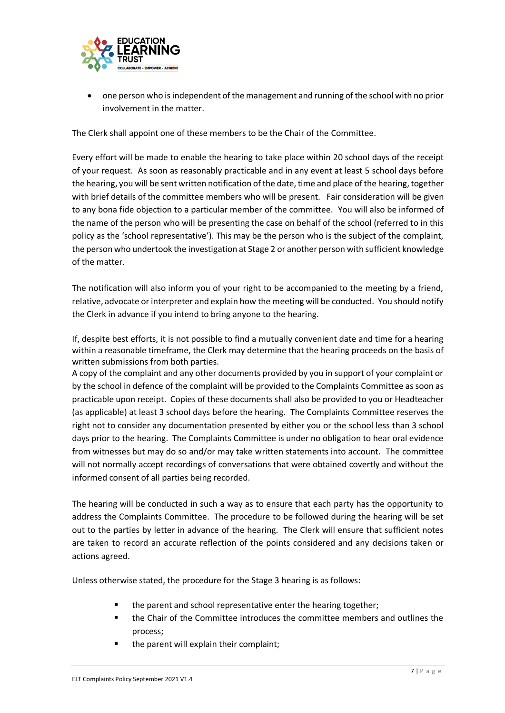

 one person who is independent of the management and running of the school with no prior involvement in the matter.

The Clerk shall appoint one of these members to be the Chair of the Committee.

Every effort will be made to enable the hearing to take place within 20 school days of the receipt of your request. As soon as reasonably practicable and in any event at least 5 school days before the hearing, you will be sent written notification of the date, time and place of the hearing, together with brief details of the committee members who will be present. Fair consideration will be given to any bona fide objection to a particular member of the committee. You will also be informed of the name of the person who will be presenting the case on behalf of the school (referred to in this policy as the 'school representative'). This may be the person who is the subject of the complaint, the person who undertook the investigation at Stage 2 or another person with sufficient knowledge of the matter.

The notification will also inform you of your right to be accompanied to the meeting by a friend, relative, advocate or interpreter and explain how the meeting will be conducted. You should notify the Clerk in advance if you intend to bring anyone to the hearing.

If, despite best efforts, it is not possible to find a mutually convenient date and time for a hearing within a reasonable timeframe, the Clerk may determine that the hearing proceeds on the basis of written submissions from both parties.

A copy of the complaint and any other documents provided by you in support of your complaint or by the school in defence of the complaint will be provided to the Complaints Committee as soon as practicable upon receipt. Copies of these documents shall also be provided to you or Headteacher (as applicable) at least 3 school days before the hearing. The Complaints Committee reserves the right not to consider any documentation presented by either you or the school less than 3 school days prior to the hearing. The Complaints Committee is under no obligation to hear oral evidence from witnesses but may do so and/or may take written statements into account. The committee will not normally accept recordings of conversations that were obtained covertly and without the informed consent of all parties being recorded.

The hearing will be conducted in such a way as to ensure that each party has the opportunity to address the Complaints Committee. The procedure to be followed during the hearing will be set out to the parties by letter in advance of the hearing. The Clerk will ensure that sufficient notes are taken to record an accurate reflection of the points considered and any decisions taken or actions agreed.

Unless otherwise stated, the procedure for the Stage 3 hearing is as follows:

- **the parent and school representative enter the hearing together;**
- the Chair of the Committee introduces the committee members and outlines the process;
- the parent will explain their complaint;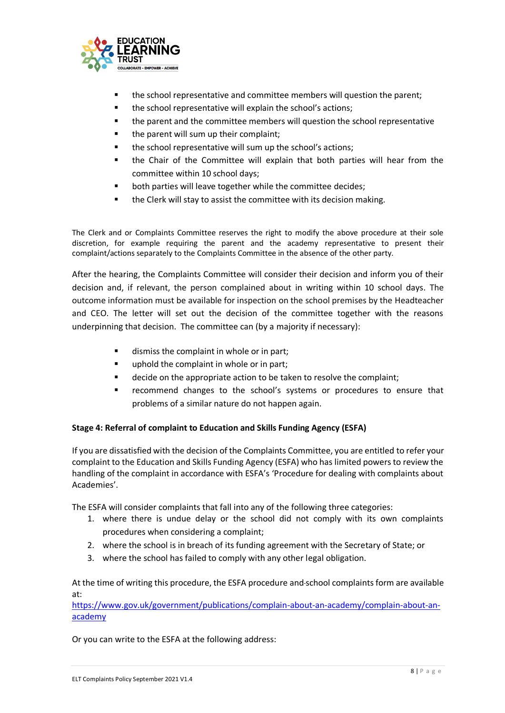

- **the school representative and committee members will question the parent;**
- the school representative will explain the school's actions;
- the parent and the committee members will question the school representative
- the parent will sum up their complaint;
- **the school representative will sum up the school's actions;**
- the Chair of the Committee will explain that both parties will hear from the committee within 10 school days;
- **•** both parties will leave together while the committee decides;
- **the Clerk will stay to assist the committee with its decision making.**

The Clerk and or Complaints Committee reserves the right to modify the above procedure at their sole discretion, for example requiring the parent and the academy representative to present their complaint/actions separately to the Complaints Committee in the absence of the other party.

After the hearing, the Complaints Committee will consider their decision and inform you of their decision and, if relevant, the person complained about in writing within 10 school days. The outcome information must be available for inspection on the school premises by the Headteacher and CEO. The letter will set out the decision of the committee together with the reasons underpinning that decision. The committee can (by a majority if necessary):

- dismiss the complaint in whole or in part;
- **uphold the complaint in whole or in part;**
- decide on the appropriate action to be taken to resolve the complaint;
- **•** recommend changes to the school's systems or procedures to ensure that problems of a similar nature do not happen again.

#### <span id="page-8-0"></span>**Stage 4: Referral of complaint to Education and Skills Funding Agency (ESFA)**

If you are dissatisfied with the decision of the Complaints Committee, you are entitled to refer your complaint to the Education and Skills Funding Agency (ESFA) who has limited powers to review the handling of the complaint in accordance with ESFA's 'Procedure for dealing with complaints about Academies'.

The ESFA will consider complaints that fall into any of the following three categories:

- 1. where there is undue delay or the school did not comply with its own complaints procedures when considering a complaint;
- 2. where the school is in breach of its funding agreement with the Secretary of State; or
- 3. where the school has failed to comply with any other legal obligation.

At the time of writing this procedure, the ESFA procedure and school complaints form are available at:

[https://www.gov.uk/government/publications/complain-about-an-academy/complain-about-an](https://www.gov.uk/government/publications/complain-about-an-academy/complain-about-an-academy)[academy](https://www.gov.uk/government/publications/complain-about-an-academy/complain-about-an-academy)

Or you can write to the ESFA at the following address: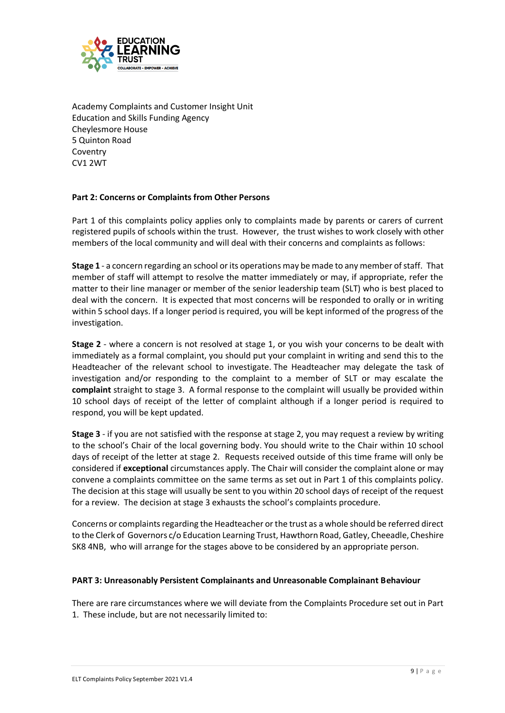

Academy Complaints and Customer Insight Unit Education and Skills Funding Agency Cheylesmore House 5 Quinton Road Coventry CV1 2WT

#### <span id="page-9-0"></span>**Part 2: Concerns or Complaints from Other Persons**

Part 1 of this complaints policy applies only to complaints made by parents or carers of current registered pupils of schools within the trust. However, the trust wishes to work closely with other members of the local community and will deal with their concerns and complaints as follows:

**Stage 1** - a concern regarding an school or its operations may be made to any member of staff. That member of staff will attempt to resolve the matter immediately or may, if appropriate, refer the matter to their line manager or member of the senior leadership team (SLT) who is best placed to deal with the concern. It is expected that most concerns will be responded to orally or in writing within 5 school days. If a longer period is required, you will be kept informed of the progress of the investigation.

**Stage 2** - where a concern is not resolved at stage 1, or you wish your concerns to be dealt with immediately as a formal complaint, you should put your complaint in writing and send this to the Headteacher of the relevant school to investigate. The Headteacher may delegate the task of investigation and/or responding to the complaint to a member of SLT or may escalate the **complaint** straight to stage 3. A formal response to the complaint will usually be provided within 10 school days of receipt of the letter of complaint although if a longer period is required to respond, you will be kept updated.

**Stage 3** - if you are not satisfied with the response at stage 2, you may request a review by writing to the school's Chair of the local governing body. You should write to the Chair within 10 school days of receipt of the letter at stage 2. Requests received outside of this time frame will only be considered if **exceptional** circumstances apply. The Chair will consider the complaint alone or may convene a complaints committee on the same terms as set out in Part 1 of this complaints policy. The decision at this stage will usually be sent to you within 20 school days of receipt of the request for a review. The decision at stage 3 exhausts the school's complaints procedure.

Concerns or complaints regarding the Headteacher or the trust as a whole should be referred direct to the Clerk of Governors c/o Education Learning Trust, Hawthorn Road, Gatley, Cheeadle, Cheshire SK8 4NB, who will arrange for the stages above to be considered by an appropriate person.

#### <span id="page-9-1"></span>**PART 3: Unreasonably Persistent Complainants and Unreasonable Complainant Behaviour**

There are rare circumstances where we will deviate from the Complaints Procedure set out in Part 1. These include, but are not necessarily limited to: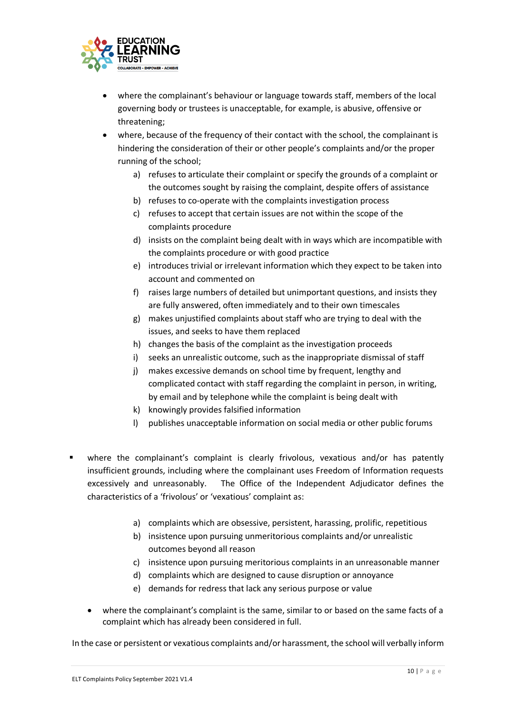

- where the complainant's behaviour or language towards staff, members of the local governing body or trustees is unacceptable, for example, is abusive, offensive or threatening;
- where, because of the frequency of their contact with the school, the complainant is hindering the consideration of their or other people's complaints and/or the proper running of the school;
	- a) refuses to articulate their complaint or specify the grounds of a complaint or the outcomes sought by raising the complaint, despite offers of assistance
	- b) refuses to co-operate with the complaints investigation process
	- c) refuses to accept that certain issues are not within the scope of the complaints procedure
	- d) insists on the complaint being dealt with in ways which are incompatible with the complaints procedure or with good practice
	- e) introduces trivial or irrelevant information which they expect to be taken into account and commented on
	- f) raises large numbers of detailed but unimportant questions, and insists they are fully answered, often immediately and to their own timescales
	- g) makes unjustified complaints about staff who are trying to deal with the issues, and seeks to have them replaced
	- h) changes the basis of the complaint as the investigation proceeds
	- i) seeks an unrealistic outcome, such as the inappropriate dismissal of staff
	- j) makes excessive demands on school time by frequent, lengthy and complicated contact with staff regarding the complaint in person, in writing, by email and by telephone while the complaint is being dealt with
	- k) knowingly provides falsified information
	- l) publishes unacceptable information on social media or other public forums
- where the complainant's complaint is clearly frivolous, vexatious and/or has patently insufficient grounds, including where the complainant uses Freedom of Information requests excessively and unreasonably. The Office of the Independent Adjudicator defines the characteristics of a 'frivolous' or 'vexatious' complaint as:
	- a) complaints which are obsessive, persistent, harassing, prolific, repetitious
	- b) insistence upon pursuing unmeritorious complaints and/or unrealistic outcomes beyond all reason
	- c) insistence upon pursuing meritorious complaints in an unreasonable manner
	- d) complaints which are designed to cause disruption or annoyance
	- e) demands for redress that lack any serious purpose or value
	- where the complainant's complaint is the same, similar to or based on the same facts of a complaint which has already been considered in full.

In the case or persistent or vexatious complaints and/or harassment, the school will verbally inform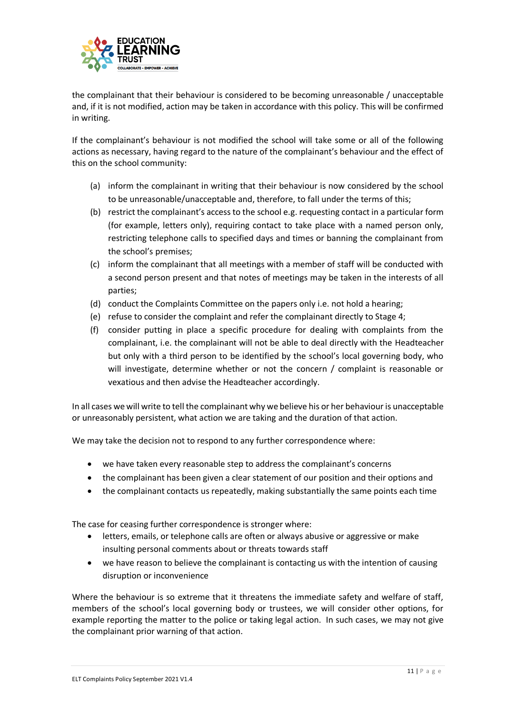

the complainant that their behaviour is considered to be becoming unreasonable / unacceptable and, if it is not modified, action may be taken in accordance with this policy. This will be confirmed in writing.

If the complainant's behaviour is not modified the school will take some or all of the following actions as necessary, having regard to the nature of the complainant's behaviour and the effect of this on the school community:

- (a) inform the complainant in writing that their behaviour is now considered by the school to be unreasonable/unacceptable and, therefore, to fall under the terms of this;
- (b) restrict the complainant's access to the school e.g. requesting contact in a particular form (for example, letters only), requiring contact to take place with a named person only, restricting telephone calls to specified days and times or banning the complainant from the school's premises;
- (c) inform the complainant that all meetings with a member of staff will be conducted with a second person present and that notes of meetings may be taken in the interests of all parties;
- (d) conduct the Complaints Committee on the papers only i.e. not hold a hearing;
- (e) refuse to consider the complaint and refer the complainant directly to Stage 4;
- (f) consider putting in place a specific procedure for dealing with complaints from the complainant, i.e. the complainant will not be able to deal directly with the Headteacher but only with a third person to be identified by the school's local governing body, who will investigate, determine whether or not the concern / complaint is reasonable or vexatious and then advise the Headteacher accordingly.

In all cases we will write to tell the complainant why we believe his or her behaviour is unacceptable or unreasonably persistent, what action we are taking and the duration of that action.

We may take the decision not to respond to any further correspondence where:

- we have taken every reasonable step to address the complainant's concerns
- the complainant has been given a clear statement of our position and their options and
- the complainant contacts us repeatedly, making substantially the same points each time

The case for ceasing further correspondence is stronger where:

- letters, emails, or telephone calls are often or always abusive or aggressive or make insulting personal comments about or threats towards staff
- we have reason to believe the complainant is contacting us with the intention of causing disruption or inconvenience

Where the behaviour is so extreme that it threatens the immediate safety and welfare of staff, members of the school's local governing body or trustees, we will consider other options, for example reporting the matter to the police or taking legal action. In such cases, we may not give the complainant prior warning of that action.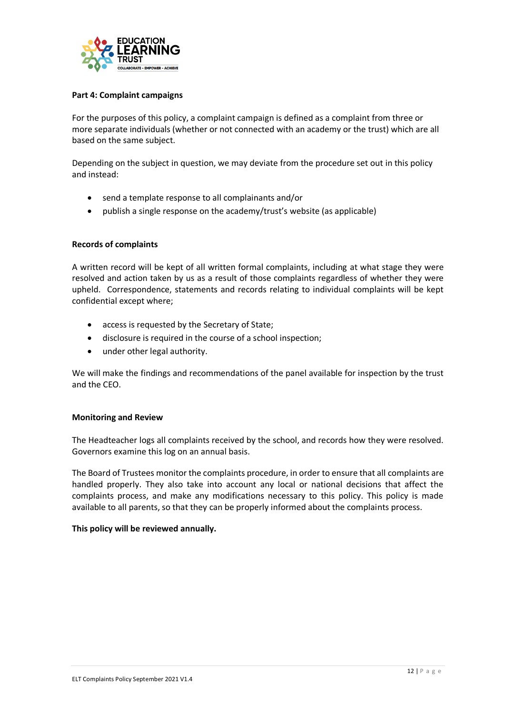

#### <span id="page-12-0"></span>**Part 4: Complaint campaigns**

For the purposes of this policy, a complaint campaign is defined as a complaint from three or more separate individuals (whether or not connected with an academy or the trust) which are all based on the same subject.

Depending on the subject in question, we may deviate from the procedure set out in this policy and instead:

- send a template response to all complainants and/or
- publish a single response on the academy/trust's website (as applicable)

#### <span id="page-12-1"></span>**Records of complaints**

A written record will be kept of all written formal complaints, including at what stage they were resolved and action taken by us as a result of those complaints regardless of whether they were upheld. Correspondence, statements and records relating to individual complaints will be kept confidential except where;

- access is requested by the Secretary of State;
- disclosure is required in the course of a school inspection;
- under other legal authority.

We will make the findings and recommendations of the panel available for inspection by the trust and the CEO.

#### <span id="page-12-2"></span>**Monitoring and Review**

The Headteacher logs all complaints received by the school, and records how they were resolved. Governors examine this log on an annual basis.

The Board of Trustees monitor the complaints procedure, in order to ensure that all complaints are handled properly. They also take into account any local or national decisions that affect the complaints process, and make any modifications necessary to this policy. This policy is made available to all parents, so that they can be properly informed about the complaints process.

#### **This policy will be reviewed annually.**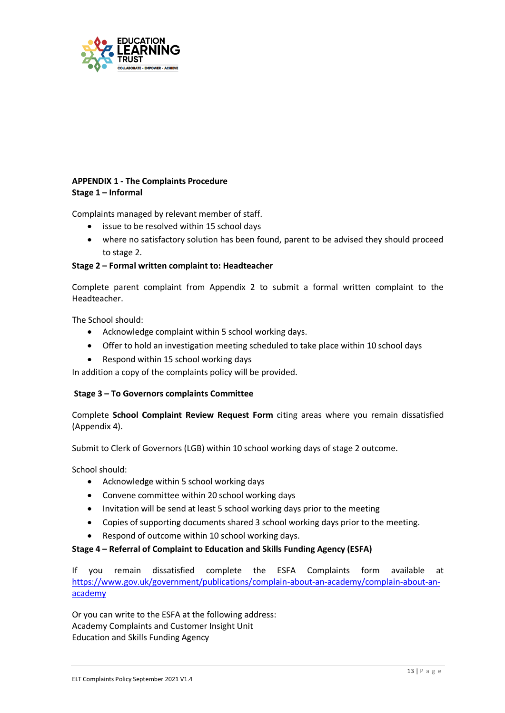

## <span id="page-13-0"></span>**APPENDIX 1 - The Complaints Procedure Stage 1 – Informal**

Complaints managed by relevant member of staff.

- issue to be resolved within 15 school days
- where no satisfactory solution has been found, parent to be advised they should proceed to stage 2.

#### **Stage 2 – Formal written complaint to: Headteacher**

Complete parent complaint from Appendix 2 to submit a formal written complaint to the Headteacher.

The School should:

- Acknowledge complaint within 5 school working days.
- Offer to hold an investigation meeting scheduled to take place within 10 school days
- Respond within 15 school working days

In addition a copy of the complaints policy will be provided.

#### **Stage 3 – To Governors complaints Committee**

Complete **School Complaint Review Request Form** citing areas where you remain dissatisfied (Appendix 4).

Submit to Clerk of Governors (LGB) within 10 school working days of stage 2 outcome.

School should:

- Acknowledge within 5 school working days
- Convene committee within 20 school working days
- Invitation will be send at least 5 school working days prior to the meeting
- Copies of supporting documents shared 3 school working days prior to the meeting.
- Respond of outcome within 10 school working days.

#### **Stage 4 – Referral of Complaint to Education and Skills Funding Agency (ESFA)**

If you remain dissatisfied complete the ESFA Complaints form available at [https://www.gov.uk/government/publications/complain-about-an-academy/complain-about-an](https://www.gov.uk/government/publications/complain-about-an-academy/complain-about-an-academy)[academy](https://www.gov.uk/government/publications/complain-about-an-academy/complain-about-an-academy)

Or you can write to the ESFA at the following address: Academy Complaints and Customer Insight Unit Education and Skills Funding Agency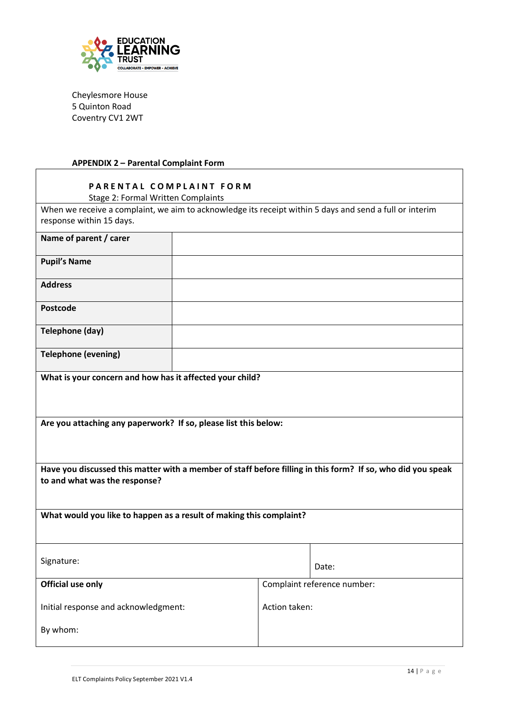

Cheylesmore House 5 Quinton Road Coventry CV1 2WT

#### <span id="page-14-0"></span>**APPENDIX 2 – Parental Complaint Form**

#### **PARENTAL COMPLAINT FORM**

Stage 2: Formal Written Complaints

When we receive a complaint, we aim to acknowledge its receipt within 5 days and send a full or interim response within 15 days.

| Name of parent / carer                                              |  |               |                                                                                                             |  |  |  |  |
|---------------------------------------------------------------------|--|---------------|-------------------------------------------------------------------------------------------------------------|--|--|--|--|
| <b>Pupil's Name</b>                                                 |  |               |                                                                                                             |  |  |  |  |
| <b>Address</b>                                                      |  |               |                                                                                                             |  |  |  |  |
| <b>Postcode</b>                                                     |  |               |                                                                                                             |  |  |  |  |
| <b>Telephone (day)</b>                                              |  |               |                                                                                                             |  |  |  |  |
| <b>Telephone (evening)</b>                                          |  |               |                                                                                                             |  |  |  |  |
| What is your concern and how has it affected your child?            |  |               |                                                                                                             |  |  |  |  |
|                                                                     |  |               |                                                                                                             |  |  |  |  |
| Are you attaching any paperwork? If so, please list this below:     |  |               |                                                                                                             |  |  |  |  |
|                                                                     |  |               |                                                                                                             |  |  |  |  |
|                                                                     |  |               | Have you discussed this matter with a member of staff before filling in this form? If so, who did you speak |  |  |  |  |
| to and what was the response?                                       |  |               |                                                                                                             |  |  |  |  |
| What would you like to happen as a result of making this complaint? |  |               |                                                                                                             |  |  |  |  |
|                                                                     |  |               |                                                                                                             |  |  |  |  |
| Signature:                                                          |  |               | Date:                                                                                                       |  |  |  |  |
|                                                                     |  |               |                                                                                                             |  |  |  |  |
| <b>Official use only</b>                                            |  |               | Complaint reference number:                                                                                 |  |  |  |  |
| Initial response and acknowledgment:                                |  | Action taken: |                                                                                                             |  |  |  |  |
| By whom:                                                            |  |               |                                                                                                             |  |  |  |  |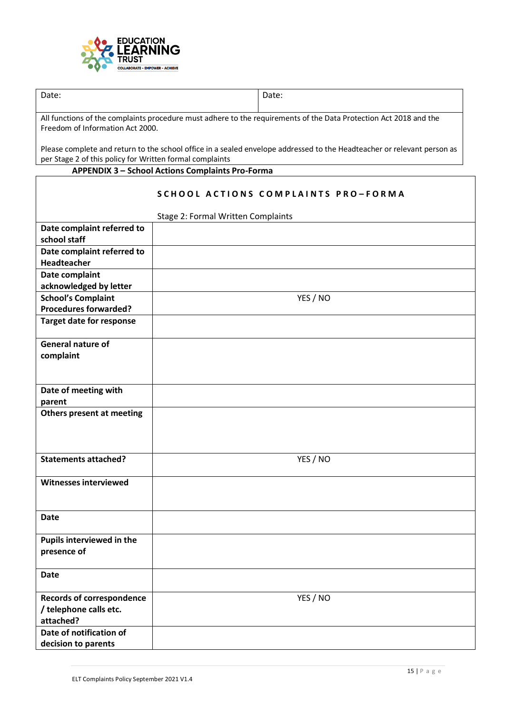

| Date:                     |  |               | Date: |                                                  |  |                                   |   |  |
|---------------------------|--|---------------|-------|--------------------------------------------------|--|-----------------------------------|---|--|
| - -<br>and the control of |  | $\sim$ $\sim$ |       | $\sim$ $\sim$ $\sim$ $\sim$ $\sim$ $\sim$ $\sim$ |  | the company's company's company's | . |  |

All functions of the complaints procedure must adhere to the requirements of the Data Protection Act 2018 and the Freedom of Information Act 2000.

Please complete and return to the school office in a sealed envelope addressed to the Headteacher or relevant person as per Stage 2 of this policy for Written formal complaints

#### <span id="page-15-0"></span>**APPENDIX 3 – School Actions Complaints Pro-Forma**

## **S C H O O L A C T I O N S C O M P L A I N T S P R O – F O R M A**

|                                          | Stage 2: Formal Written Complaints |
|------------------------------------------|------------------------------------|
| Date complaint referred to               |                                    |
| school staff                             |                                    |
| Date complaint referred to               |                                    |
| Headteacher                              |                                    |
| Date complaint                           |                                    |
| acknowledged by letter                   |                                    |
| <b>School's Complaint</b>                | YES / NO                           |
| <b>Procedures forwarded?</b>             |                                    |
| <b>Target date for response</b>          |                                    |
| <b>General nature of</b><br>complaint    |                                    |
| Date of meeting with<br>parent           |                                    |
| <b>Others present at meeting</b>         |                                    |
| <b>Statements attached?</b>              | YES / NO                           |
| <b>Witnesses interviewed</b>             |                                    |
| <b>Date</b>                              |                                    |
| Pupils interviewed in the<br>presence of |                                    |
| Date                                     |                                    |
| <b>Records of correspondence</b>         | YES / NO                           |
| / telephone calls etc.<br>attached?      |                                    |
| Date of notification of                  |                                    |
| decision to parents                      |                                    |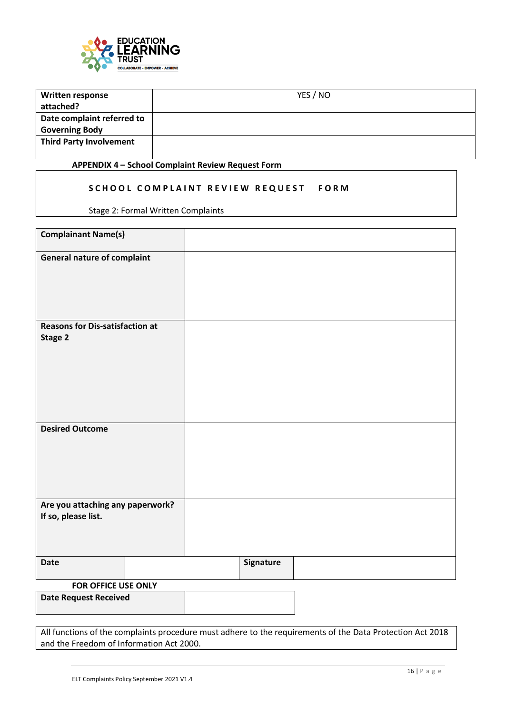

| <b>Written response</b><br>attached?                | YES / NO |
|-----------------------------------------------------|----------|
| Date complaint referred to<br><b>Governing Body</b> |          |
| <b>Third Party Involvement</b>                      |          |

#### <span id="page-16-0"></span>**APPENDIX 4 – School Complaint Review Request Form**

#### SCHOOL COMPLAINT REVIEW REQUEST FORM

Stage 2: Formal Written Complaints

| <b>Complainant Name(s)</b>             |  |  |           |  |  |
|----------------------------------------|--|--|-----------|--|--|
| <b>General nature of complaint</b>     |  |  |           |  |  |
|                                        |  |  |           |  |  |
|                                        |  |  |           |  |  |
| <b>Reasons for Dis-satisfaction at</b> |  |  |           |  |  |
| Stage 2                                |  |  |           |  |  |
|                                        |  |  |           |  |  |
|                                        |  |  |           |  |  |
|                                        |  |  |           |  |  |
|                                        |  |  |           |  |  |
| <b>Desired Outcome</b>                 |  |  |           |  |  |
|                                        |  |  |           |  |  |
|                                        |  |  |           |  |  |
|                                        |  |  |           |  |  |
| Are you attaching any paperwork?       |  |  |           |  |  |
| If so, please list.                    |  |  |           |  |  |
|                                        |  |  |           |  |  |
| <b>Date</b>                            |  |  | Signature |  |  |
| FOR OFFICE USE ONLY                    |  |  |           |  |  |

All functions of the complaints procedure must adhere to the requirements of the Data Protection Act 2018 and the Freedom of Information Act 2000.

**Date Request Received**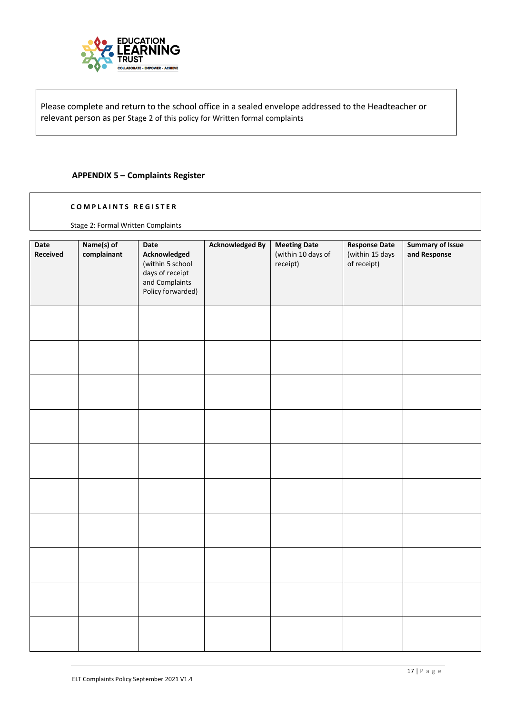

Please complete and return to the school office in a sealed envelope addressed to the Headteacher or relevant person as per Stage 2 of this policy for Written formal complaints

#### <span id="page-17-0"></span>**APPENDIX 5 – Complaints Register**

#### **C O M P L A I N T S R E G I S T E R**

Stage 2: Formal Written Complaints

| Date<br>Received | Name(s) of<br>complainant | Date<br>Acknowledged<br>(within 5 school<br>days of receipt<br>and Complaints<br>Policy forwarded) | <b>Acknowledged By</b> | <b>Meeting Date</b><br>(within 10 days of<br>receipt) | <b>Response Date</b><br>(within 15 days<br>of receipt) | <b>Summary of Issue</b><br>and Response |
|------------------|---------------------------|----------------------------------------------------------------------------------------------------|------------------------|-------------------------------------------------------|--------------------------------------------------------|-----------------------------------------|
|                  |                           |                                                                                                    |                        |                                                       |                                                        |                                         |
|                  |                           |                                                                                                    |                        |                                                       |                                                        |                                         |
|                  |                           |                                                                                                    |                        |                                                       |                                                        |                                         |
|                  |                           |                                                                                                    |                        |                                                       |                                                        |                                         |
|                  |                           |                                                                                                    |                        |                                                       |                                                        |                                         |
|                  |                           |                                                                                                    |                        |                                                       |                                                        |                                         |
|                  |                           |                                                                                                    |                        |                                                       |                                                        |                                         |
|                  |                           |                                                                                                    |                        |                                                       |                                                        |                                         |
|                  |                           |                                                                                                    |                        |                                                       |                                                        |                                         |
|                  |                           |                                                                                                    |                        |                                                       |                                                        |                                         |